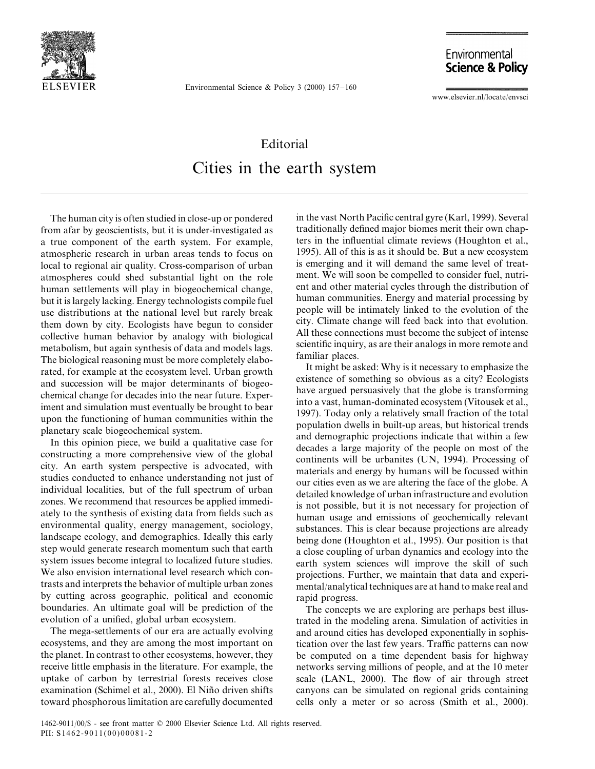

Environmental Science & Policy 3 (2000) 157–160



www.elsevier.nl/locate/envsci

## Editorial Cities in the earth system

The human city is often studied in close-up or pondered from afar by geoscientists, but it is under-investigated as a true component of the earth system. For example, atmospheric research in urban areas tends to focus on local to regional air quality. Cross-comparison of urban atmospheres could shed substantial light on the role human settlements will play in biogeochemical change, but it is largely lacking. Energy technologists compile fuel use distributions at the national level but rarely break them down by city. Ecologists have begun to consider collective human behavior by analogy with biological metabolism, but again synthesis of data and models lags. The biological reasoning must be more completely elaborated, for example at the ecosystem level. Urban growth and succession will be major determinants of biogeochemical change for decades into the near future. Experiment and simulation must eventually be brought to bear upon the functioning of human communities within the planetary scale biogeochemical system.

In this opinion piece, we build a qualitative case for constructing a more comprehensive view of the global city. An earth system perspective is advocated, with studies conducted to enhance understanding not just of individual localities, but of the full spectrum of urban zones. We recommend that resources be applied immediately to the synthesis of existing data from fields such as environmental quality, energy management, sociology, landscape ecology, and demographics. Ideally this early step would generate research momentum such that earth system issues become integral to localized future studies. We also envision international level research which contrasts and interprets the behavior of multiple urban zones by cutting across geographic, political and economic boundaries. An ultimate goal will be prediction of the evolution of a unified, global urban ecosystem.

The mega-settlements of our era are actually evolving ecosystems, and they are among the most important on the planet. In contrast to other ecosystems, however, they receive little emphasis in the literature. For example, the uptake of carbon by terrestrial forests receives close examination (Schimel et al., 2000). El Niño driven shifts toward phosphorous limitation are carefully documented in the vast North Pacific central gyre (Karl, 1999). Several traditionally defined major biomes merit their own chapters in the influential climate reviews (Houghton et al., 1995). All of this is as it should be. But a new ecosystem is emerging and it will demand the same level of treatment. We will soon be compelled to consider fuel, nutrient and other material cycles through the distribution of human communities. Energy and material processing by people will be intimately linked to the evolution of the city. Climate change will feed back into that evolution. All these connections must become the subject of intense scientific inquiry, as are their analogs in more remote and familiar places.

It might be asked: Why is it necessary to emphasize the existence of something so obvious as a city? Ecologists have argued persuasively that the globe is transforming into a vast, human-dominated ecosystem (Vitousek et al., 1997). Today only a relatively small fraction of the total population dwells in built-up areas, but historical trends and demographic projections indicate that within a few decades a large majority of the people on most of the continents will be urbanites (UN, 1994). Processing of materials and energy by humans will be focussed within our cities even as we are altering the face of the globe. A detailed knowledge of urban infrastructure and evolution is not possible, but it is not necessary for projection of human usage and emissions of geochemically relevant substances. This is clear because projections are already being done (Houghton et al., 1995). Our position is that a close coupling of urban dynamics and ecology into the earth system sciences will improve the skill of such projections. Further, we maintain that data and experimental/analytical techniques are at hand to make real and rapid progress.

The concepts we are exploring are perhaps best illustrated in the modeling arena. Simulation of activities in and around cities has developed exponentially in sophistication over the last few years. Traffic patterns can now be computed on a time dependent basis for highway networks serving millions of people, and at the 10 meter scale (LANL, 2000). The flow of air through street canyons can be simulated on regional grids containing cells only a meter or so across (Smith et al., 2000).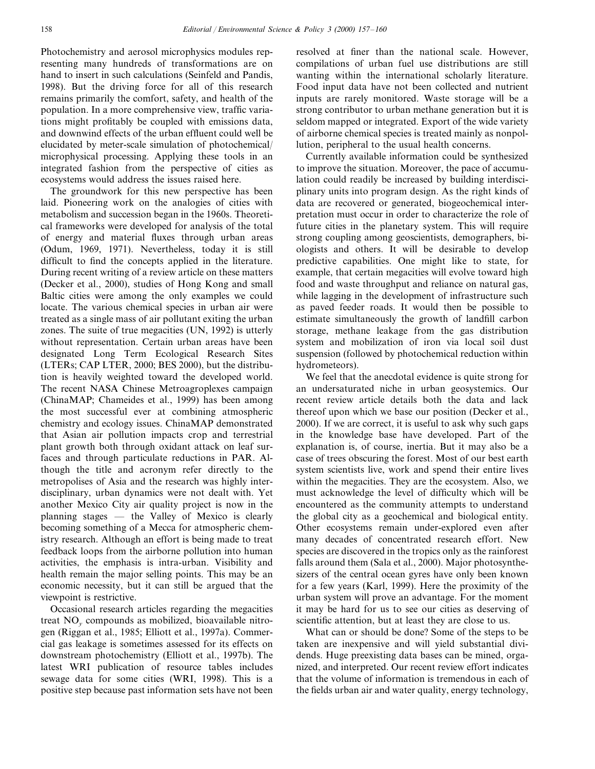Photochemistry and aerosol microphysics modules representing many hundreds of transformations are on hand to insert in such calculations (Seinfeld and Pandis, 1998). But the driving force for all of this research remains primarily the comfort, safety, and health of the population. In a more comprehensive view, traffic variations might profitably be coupled with emissions data, and downwind effects of the urban effluent could well be elucidated by meter-scale simulation of photochemical/ microphysical processing. Applying these tools in an integrated fashion from the perspective of cities as ecosystems would address the issues raised here.

The groundwork for this new perspective has been laid. Pioneering work on the analogies of cities with metabolism and succession began in the 1960s. Theoretical frameworks were developed for analysis of the total of energy and material fluxes through urban areas (Odum, 1969, 1971). Nevertheless, today it is still difficult to find the concepts applied in the literature. During recent writing of a review article on these matters (Decker et al., 2000), studies of Hong Kong and small Baltic cities were among the only examples we could locate. The various chemical species in urban air were treated as a single mass of air pollutant exiting the urban zones. The suite of true megacities (UN, 1992) is utterly without representation. Certain urban areas have been designated Long Term Ecological Research Sites (LTERs; CAP LTER, 2000; BES 2000), but the distribution is heavily weighted toward the developed world. The recent NASA Chinese Metroagroplexes campaign (ChinaMAP; Chameides et al., 1999) has been among the most successful ever at combining atmospheric chemistry and ecology issues. ChinaMAP demonstrated that Asian air pollution impacts crop and terrestrial plant growth both through oxidant attack on leaf surfaces and through particulate reductions in PAR. Although the title and acronym refer directly to the metropolises of Asia and the research was highly interdisciplinary, urban dynamics were not dealt with. Yet another Mexico City air quality project is now in the planning stages — the Valley of Mexico is clearly becoming something of a Mecca for atmospheric chemistry research. Although an effort is being made to treat feedback loops from the airborne pollution into human activities, the emphasis is intra-urban. Visibility and health remain the major selling points. This may be an economic necessity, but it can still be argued that the viewpoint is restrictive.

Occasional research articles regarding the megacities treat NO*<sup>y</sup>* compounds as mobilized, bioavailable nitrogen (Riggan et al., 1985; Elliott et al., 1997a). Commercial gas leakage is sometimes assessed for its effects on downstream photochemistry (Elliott et al., 1997b). The latest WRI publication of resource tables includes sewage data for some cities (WRI, 1998). This is a positive step because past information sets have not been

resolved at finer than the national scale. However, compilations of urban fuel use distributions are still wanting within the international scholarly literature. Food input data have not been collected and nutrient inputs are rarely monitored. Waste storage will be a strong contributor to urban methane generation but it is seldom mapped or integrated. Export of the wide variety of airborne chemical species is treated mainly as nonpollution, peripheral to the usual health concerns.

Currently available information could be synthesized to improve the situation. Moreover, the pace of accumulation could readily be increased by building interdisciplinary units into program design. As the right kinds of data are recovered or generated, biogeochemical interpretation must occur in order to characterize the role of future cities in the planetary system. This will require strong coupling among geoscientists, demographers, biologists and others. It will be desirable to develop predictive capabilities. One might like to state, for example, that certain megacities will evolve toward high food and waste throughput and reliance on natural gas, while lagging in the development of infrastructure such as paved feeder roads. It would then be possible to estimate simultaneously the growth of landfill carbon storage, methane leakage from the gas distribution system and mobilization of iron via local soil dust suspension (followed by photochemical reduction within hydrometeors).

We feel that the anecdotal evidence is quite strong for an undersaturated niche in urban geosystemics. Our recent review article details both the data and lack thereof upon which we base our position (Decker et al., 2000). If we are correct, it is useful to ask why such gaps in the knowledge base have developed. Part of the explanation is, of course, inertia. But it may also be a case of trees obscuring the forest. Most of our best earth system scientists live, work and spend their entire lives within the megacities. They are the ecosystem. Also, we must acknowledge the level of difficulty which will be encountered as the community attempts to understand the global city as a geochemical and biological entity. Other ecosystems remain under-explored even after many decades of concentrated research effort. New species are discovered in the tropics only as the rainforest falls around them (Sala et al., 2000). Major photosynthesizers of the central ocean gyres have only been known for a few years (Karl, 1999). Here the proximity of the urban system will prove an advantage. For the moment it may be hard for us to see our cities as deserving of scientific attention, but at least they are close to us.

What can or should be done? Some of the steps to be taken are inexpensive and will yield substantial dividends. Huge preexisting data bases can be mined, organized, and interpreted. Our recent review effort indicates that the volume of information is tremendous in each of the fields urban air and water quality, energy technology,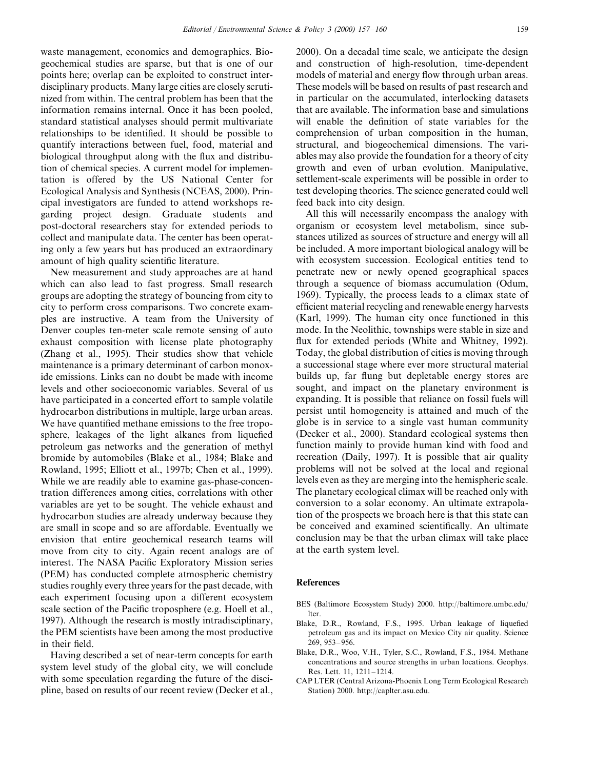waste management, economics and demographics. Biogeochemical studies are sparse, but that is one of our points here; overlap can be exploited to construct interdisciplinary products. Many large cities are closely scrutinized from within. The central problem has been that the information remains internal. Once it has been pooled, standard statistical analyses should permit multivariate relationships to be identified. It should be possible to quantify interactions between fuel, food, material and biological throughput along with the flux and distribution of chemical species. A current model for implementation is offered by the US National Center for Ecological Analysis and Synthesis (NCEAS, 2000). Principal investigators are funded to attend workshops regarding project design. Graduate students and post-doctoral researchers stay for extended periods to collect and manipulate data. The center has been operating only a few years but has produced an extraordinary amount of high quality scientific literature.

New measurement and study approaches are at hand which can also lead to fast progress. Small research groups are adopting the strategy of bouncing from city to city to perform cross comparisons. Two concrete examples are instructive. A team from the University of Denver couples ten-meter scale remote sensing of auto exhaust composition with license plate photography (Zhang et al., 1995). Their studies show that vehicle maintenance is a primary determinant of carbon monoxide emissions. Links can no doubt be made with income levels and other socioeconomic variables. Several of us have participated in a concerted effort to sample volatile hydrocarbon distributions in multiple, large urban areas. We have quantified methane emissions to the free troposphere, leakages of the light alkanes from liquefied petroleum gas networks and the generation of methyl bromide by automobiles (Blake et al., 1984; Blake and Rowland, 1995; Elliott et al., 1997b; Chen et al., 1999). While we are readily able to examine gas-phase-concentration differences among cities, correlations with other variables are yet to be sought. The vehicle exhaust and hydrocarbon studies are already underway because they are small in scope and so are affordable. Eventually we envision that entire geochemical research teams will move from city to city. Again recent analogs are of interest. The NASA Pacific Exploratory Mission series (PEM) has conducted complete atmospheric chemistry studies roughly every three years for the past decade, with each experiment focusing upon a different ecosystem scale section of the Pacific troposphere (e.g. Hoell et al., 1997). Although the research is mostly intradisciplinary, the PEM scientists have been among the most productive in their field.

Having described a set of near-term concepts for earth system level study of the global city, we will conclude with some speculation regarding the future of the discipline, based on results of our recent review (Decker et al.,

2000). On a decadal time scale, we anticipate the design and construction of high-resolution, time-dependent models of material and energy flow through urban areas. These models will be based on results of past research and in particular on the accumulated, interlocking datasets that are available. The information base and simulations will enable the definition of state variables for the comprehension of urban composition in the human, structural, and biogeochemical dimensions. The variables may also provide the foundation for a theory of city growth and even of urban evolution. Manipulative, settlement-scale experiments will be possible in order to test developing theories. The science generated could well feed back into city design.

All this will necessarily encompass the analogy with organism or ecosystem level metabolism, since substances utilized as sources of structure and energy will all be included. A more important biological analogy will be with ecosystem succession. Ecological entities tend to penetrate new or newly opened geographical spaces through a sequence of biomass accumulation (Odum, 1969). Typically, the process leads to a climax state of efficient material recycling and renewable energy harvests (Karl, 1999). The human city once functioned in this mode. In the Neolithic, townships were stable in size and flux for extended periods (White and Whitney, 1992). Today, the global distribution of cities is moving through a successional stage where ever more structural material builds up, far flung but depletable energy stores are sought, and impact on the planetary environment is expanding. It is possible that reliance on fossil fuels will persist until homogeneity is attained and much of the globe is in service to a single vast human community (Decker et al., 2000). Standard ecological systems then function mainly to provide human kind with food and recreation (Daily, 1997). It is possible that air quality problems will not be solved at the local and regional levels even as they are merging into the hemispheric scale. The planetary ecological climax will be reached only with conversion to a solar economy. An ultimate extrapolation of the prospects we broach here is that this state can be conceived and examined scientifically. An ultimate conclusion may be that the urban climax will take place at the earth system level.

## **References**

- BES (Baltimore Ecosystem Study) 2000. http://baltimore.umbc.edu/ lter.
- Blake, D.R., Rowland, F.S., 1995. Urban leakage of liquefied petroleum gas and its impact on Mexico City air quality. Science 269, 953–956.
- Blake, D.R., Woo, V.H., Tyler, S.C., Rowland, F.S., 1984. Methane concentrations and source strengths in urban locations. Geophys. Res. Lett. 11, 1211–1214.
- CAP LTER (Central Arizona-Phoenix Long Term Ecological Research Station) 2000. http://caplter.asu.edu.